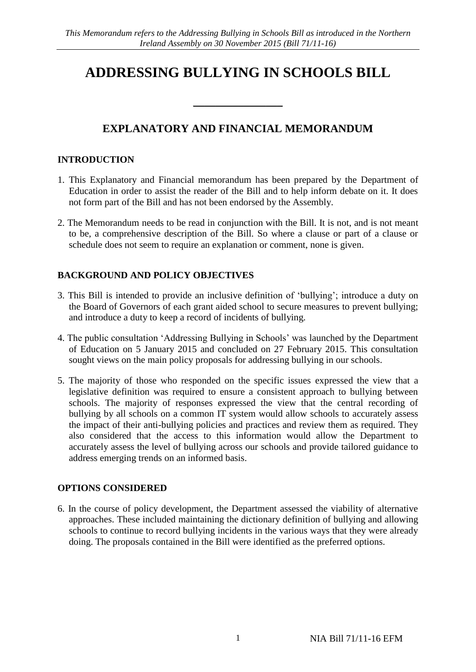# **ADDRESSING BULLYING IN SCHOOLS BILL**

# **EXPLANATORY AND FINANCIAL MEMORANDUM**

\_\_\_\_\_\_\_\_\_\_\_\_\_\_\_\_

# **INTRODUCTION**

- 1. This Explanatory and Financial memorandum has been prepared by the Department of Education in order to assist the reader of the Bill and to help inform debate on it. It does not form part of the Bill and has not been endorsed by the Assembly.
- 2. The Memorandum needs to be read in conjunction with the Bill. It is not, and is not meant to be, a comprehensive description of the Bill. So where a clause or part of a clause or schedule does not seem to require an explanation or comment, none is given.

# **BACKGROUND AND POLICY OBJECTIVES**

- 3. This Bill is intended to provide an inclusive definition of 'bullying'; introduce a duty on the Board of Governors of each grant aided school to secure measures to prevent bullying; and introduce a duty to keep a record of incidents of bullying.
- 4. The public consultation 'Addressing Bullying in Schools' was launched by the Department of Education on 5 January 2015 and concluded on 27 February 2015. This consultation sought views on the main policy proposals for addressing bullying in our schools.
- 5. The majority of those who responded on the specific issues expressed the view that a legislative definition was required to ensure a consistent approach to bullying between schools. The majority of responses expressed the view that the central recording of bullying by all schools on a common IT system would allow schools to accurately assess the impact of their anti-bullying policies and practices and review them as required. They also considered that the access to this information would allow the Department to accurately assess the level of bullying across our schools and provide tailored guidance to address emerging trends on an informed basis.

# **OPTIONS CONSIDERED**

6. In the course of policy development, the Department assessed the viability of alternative approaches. These included maintaining the dictionary definition of bullying and allowing schools to continue to record bullying incidents in the various ways that they were already doing. The proposals contained in the Bill were identified as the preferred options.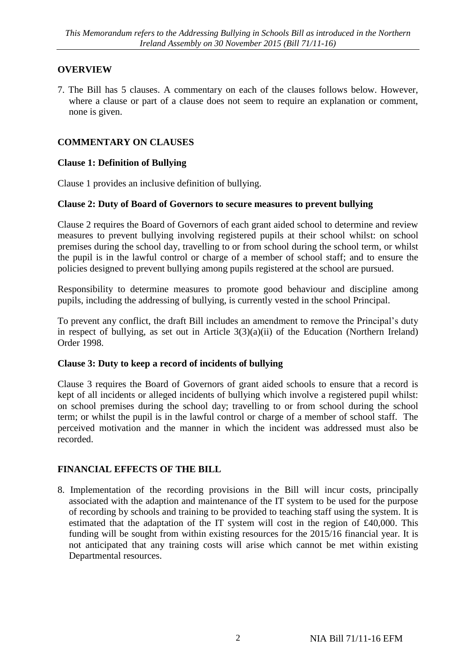# **OVERVIEW**

7. The Bill has 5 clauses. A commentary on each of the clauses follows below. However, where a clause or part of a clause does not seem to require an explanation or comment, none is given.

# **COMMENTARY ON CLAUSES**

# **Clause 1: Definition of Bullying**

Clause 1 provides an inclusive definition of bullying.

#### **Clause 2: Duty of Board of Governors to secure measures to prevent bullying**

Clause 2 requires the Board of Governors of each grant aided school to determine and review measures to prevent bullying involving registered pupils at their school whilst: on school premises during the school day, travelling to or from school during the school term, or whilst the pupil is in the lawful control or charge of a member of school staff; and to ensure the policies designed to prevent bullying among pupils registered at the school are pursued.

Responsibility to determine measures to promote good behaviour and discipline among pupils, including the addressing of bullying, is currently vested in the school Principal.

To prevent any conflict, the draft Bill includes an amendment to remove the Principal's duty in respect of bullying, as set out in Article  $3(3)(a)(ii)$  of the Education (Northern Ireland) Order 1998.

#### **Clause 3: Duty to keep a record of incidents of bullying**

Clause 3 requires the Board of Governors of grant aided schools to ensure that a record is kept of all incidents or alleged incidents of bullying which involve a registered pupil whilst: on school premises during the school day; travelling to or from school during the school term; or whilst the pupil is in the lawful control or charge of a member of school staff. The perceived motivation and the manner in which the incident was addressed must also be recorded.

# **FINANCIAL EFFECTS OF THE BILL**

8. Implementation of the recording provisions in the Bill will incur costs, principally associated with the adaption and maintenance of the IT system to be used for the purpose of recording by schools and training to be provided to teaching staff using the system. It is estimated that the adaptation of the IT system will cost in the region of £40,000. This funding will be sought from within existing resources for the 2015/16 financial year. It is not anticipated that any training costs will arise which cannot be met within existing Departmental resources.